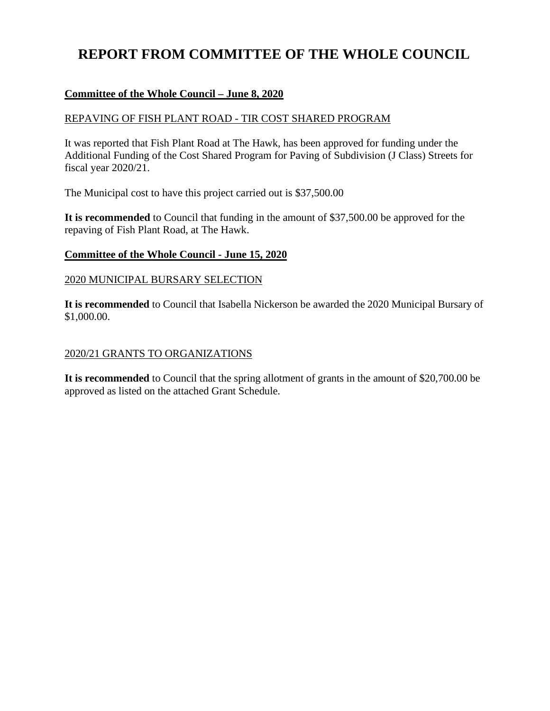# **REPORT FROM COMMITTEE OF THE WHOLE COUNCIL**

### **Committee of the Whole Council – June 8, 2020**

#### REPAVING OF FISH PLANT ROAD - TIR COST SHARED PROGRAM

It was reported that Fish Plant Road at The Hawk, has been approved for funding under the Additional Funding of the Cost Shared Program for Paving of Subdivision (J Class) Streets for fiscal year 2020/21.

The Municipal cost to have this project carried out is \$37,500.00

**It is recommended** to Council that funding in the amount of \$37,500.00 be approved for the repaving of Fish Plant Road, at The Hawk.

#### **Committee of the Whole Council - June 15, 2020**

#### 2020 MUNICIPAL BURSARY SELECTION

**It is recommended** to Council that Isabella Nickerson be awarded the 2020 Municipal Bursary of \$1,000.00.

#### 2020/21 GRANTS TO ORGANIZATIONS

**It is recommended** to Council that the spring allotment of grants in the amount of \$20,700.00 be approved as listed on the attached Grant Schedule.